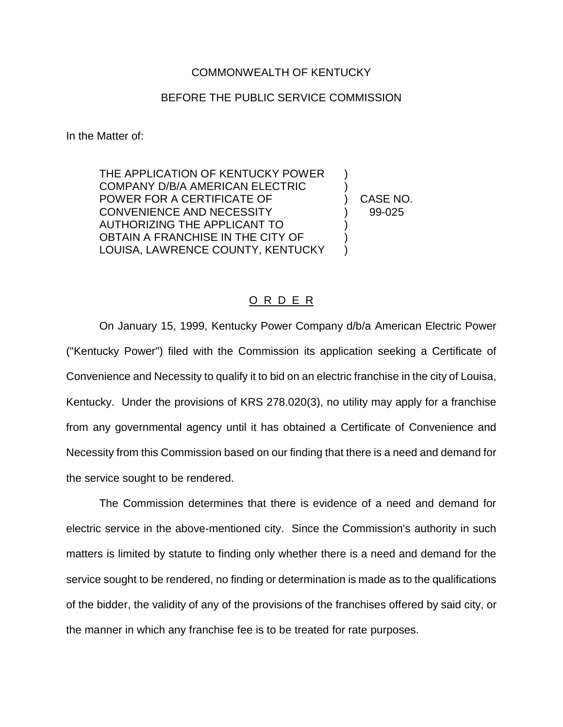## COMMONWEALTH OF KENTUCKY

## BEFORE THE PUBLIC SERVICE COMMISSION

In the Matter of:

THE APPLICATION OF KENTUCKY POWER COMPANY D/B/A AMERICAN ELECTRIC ) POWER FOR A CERTIFICATE OF  $\qquad \qquad$ ) CASE NO. CONVENIENCE AND NECESSITY (39-025) AUTHORIZING THE APPLICANT TO ) OBTAIN A FRANCHISE IN THE CITY OF LOUISA, LAWRENCE COUNTY, KENTUCKY )

## O R D E R

On January 15, 1999, Kentucky Power Company d/b/a American Electric Power ("Kentucky Power") filed with the Commission its application seeking a Certificate of Convenience and Necessity to qualify it to bid on an electric franchise in the city of Louisa, Kentucky. Under the provisions of KRS 278.020(3), no utility may apply for a franchise from any governmental agency until it has obtained a Certificate of Convenience and Necessity from this Commission based on our finding that there is a need and demand for the service sought to be rendered.

The Commission determines that there is evidence of a need and demand for electric service in the above-mentioned city. Since the Commission's authority in such matters is limited by statute to finding only whether there is a need and demand for the service sought to be rendered, no finding or determination is made as to the qualifications of the bidder, the validity of any of the provisions of the franchises offered by said city, or the manner in which any franchise fee is to be treated for rate purposes.